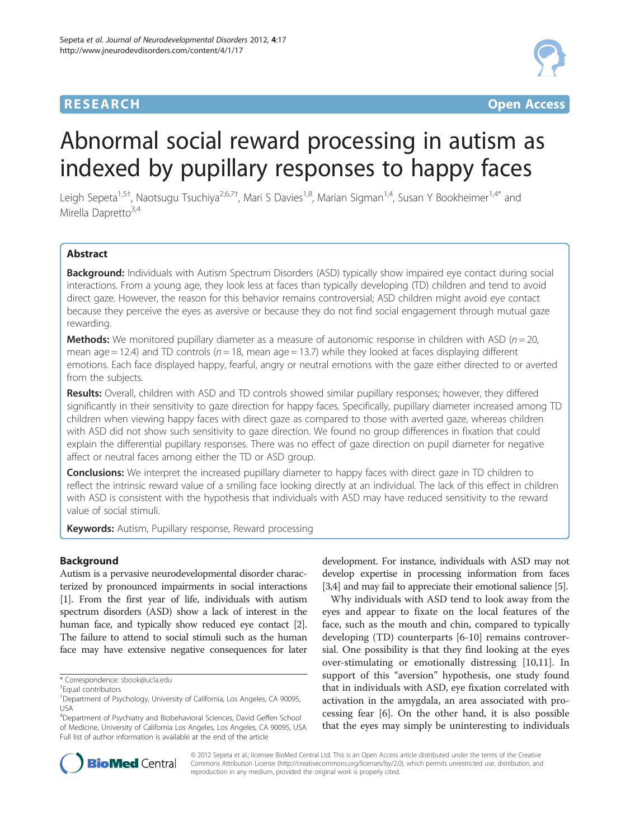# **RESEARCH RESEARCH** *CHECK CHECK CHECK CHECK CHECK CHECK CHECK CHECK CHECK CHECK CHECK CHECK CHECK CHECK CHECK CHECK CHECK CHECK CHECK CHECK CHECK CHECK CHECK CHECK CHECK CHECK CHECK CHECK CHECK CHECK CHECK CHECK CHECK*



# Abnormal social reward processing in autism as indexed by pupillary responses to happy faces

Leigh Sepeta<sup>1,5†</sup>, Naotsugu Tsuchiya<sup>2,6,7†</sup>, Mari S Davies<sup>1,8</sup>, Marian Sigman<sup>1,4</sup>, Susan Y Bookheimer<sup>1,4\*</sup> and Mirella Dapretto<sup>3,4</sup>

# **Abstract**

Background: Individuals with Autism Spectrum Disorders (ASD) typically show impaired eye contact during social interactions. From a young age, they look less at faces than typically developing (TD) children and tend to avoid direct gaze. However, the reason for this behavior remains controversial; ASD children might avoid eye contact because they perceive the eyes as aversive or because they do not find social engagement through mutual gaze rewarding.

**Methods:** We monitored pupillary diameter as a measure of autonomic response in children with ASD ( $n = 20$ , mean age = 12.4) and TD controls ( $n = 18$ , mean age = 13.7) while they looked at faces displaying different emotions. Each face displayed happy, fearful, angry or neutral emotions with the gaze either directed to or averted from the subjects.

Results: Overall, children with ASD and TD controls showed similar pupillary responses; however, they differed significantly in their sensitivity to gaze direction for happy faces. Specifically, pupillary diameter increased among TD children when viewing happy faces with direct gaze as compared to those with averted gaze, whereas children with ASD did not show such sensitivity to gaze direction. We found no group differences in fixation that could explain the differential pupillary responses. There was no effect of gaze direction on pupil diameter for negative affect or neutral faces among either the TD or ASD group.

**Conclusions:** We interpret the increased pupillary diameter to happy faces with direct gaze in TD children to reflect the intrinsic reward value of a smiling face looking directly at an individual. The lack of this effect in children with ASD is consistent with the hypothesis that individuals with ASD may have reduced sensitivity to the reward value of social stimuli.

Keywords: Autism, Pupillary response, Reward processing

# Background

Autism is a pervasive neurodevelopmental disorder characterized by pronounced impairments in social interactions [[1](#page-7-0)]. From the first year of life, individuals with autism spectrum disorders (ASD) show a lack of interest in the human face, and typically show reduced eye contact [[2](#page-7-0)]. The failure to attend to social stimuli such as the human face may have extensive negative consequences for later

development. For instance, individuals with ASD may not develop expertise in processing information from faces [[3,4](#page-7-0)] and may fail to appreciate their emotional salience [[5](#page-7-0)].

Why individuals with ASD tend to look away from the eyes and appear to fixate on the local features of the face, such as the mouth and chin, compared to typically developing (TD) counterparts [[6-](#page-7-0)[10](#page-8-0)] remains controversial. One possibility is that they find looking at the eyes over-stimulating or emotionally distressing [\[10,11\]](#page-8-0). In support of this "aversion" hypothesis, one study found that in individuals with ASD, eye fixation correlated with activation in the amygdala, an area associated with processing fear [\[6](#page-7-0)]. On the other hand, it is also possible that the eyes may simply be uninteresting to individuals



© 2012 Sepeta et al.; licensee BioMed Central Ltd. This is an Open Access article distributed under the terms of the Creative Commons Attribution License (http://creativecommons.org/licenses/by/2.0), which permits unrestricted use, distribution, and reproduction in any medium, provided the original work is properly cited.

<sup>\*</sup> Correspondence: [sbook@ucla.edu](mailto:sbook@ucla.edu) †

Equal contributors

<sup>&</sup>lt;sup>1</sup>Department of Psychology, University of California, Los Angeles, CA 90095, USA

<sup>&</sup>lt;sup>4</sup>Department of Psychiatry and Biobehavioral Sciences, David Geffen School of Medicine, University of California Los Angeles, Los Angeles, CA 90095, USA Full list of author information is available at the end of the article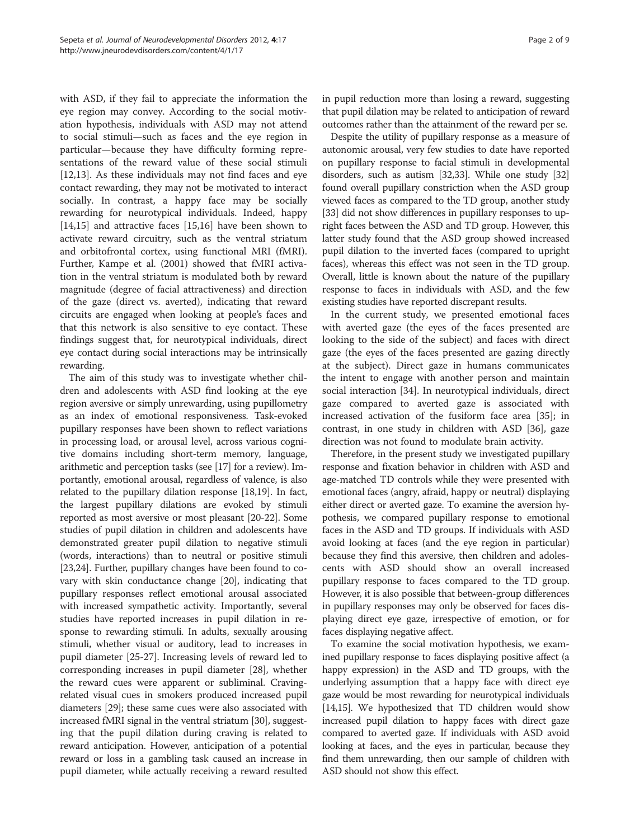with ASD, if they fail to appreciate the information the eye region may convey. According to the social motivation hypothesis, individuals with ASD may not attend to social stimuli—such as faces and the eye region in particular—because they have difficulty forming representations of the reward value of these social stimuli [[12,13\]](#page-8-0). As these individuals may not find faces and eye contact rewarding, they may not be motivated to interact socially. In contrast, a happy face may be socially rewarding for neurotypical individuals. Indeed, happy [[14,15\]](#page-8-0) and attractive faces [[15,16\]](#page-8-0) have been shown to activate reward circuitry, such as the ventral striatum and orbitofrontal cortex, using functional MRI (fMRI). Further, Kampe et al. (2001) showed that fMRI activation in the ventral striatum is modulated both by reward magnitude (degree of facial attractiveness) and direction of the gaze (direct vs. averted), indicating that reward circuits are engaged when looking at people's faces and that this network is also sensitive to eye contact. These findings suggest that, for neurotypical individuals, direct eye contact during social interactions may be intrinsically rewarding.

The aim of this study was to investigate whether children and adolescents with ASD find looking at the eye region aversive or simply unrewarding, using pupillometry as an index of emotional responsiveness. Task-evoked pupillary responses have been shown to reflect variations in processing load, or arousal level, across various cognitive domains including short-term memory, language, arithmetic and perception tasks (see [\[17\]](#page-8-0) for a review). Importantly, emotional arousal, regardless of valence, is also related to the pupillary dilation response [\[18,19](#page-8-0)]. In fact, the largest pupillary dilations are evoked by stimuli reported as most aversive or most pleasant [\[20-22\]](#page-8-0). Some studies of pupil dilation in children and adolescents have demonstrated greater pupil dilation to negative stimuli (words, interactions) than to neutral or positive stimuli [[23,24](#page-8-0)]. Further, pupillary changes have been found to covary with skin conductance change [[20](#page-8-0)], indicating that pupillary responses reflect emotional arousal associated with increased sympathetic activity. Importantly, several studies have reported increases in pupil dilation in response to rewarding stimuli. In adults, sexually arousing stimuli, whether visual or auditory, lead to increases in pupil diameter [[25](#page-8-0)-[27](#page-8-0)]. Increasing levels of reward led to corresponding increases in pupil diameter [[28](#page-8-0)], whether the reward cues were apparent or subliminal. Cravingrelated visual cues in smokers produced increased pupil diameters [\[29\]](#page-8-0); these same cues were also associated with increased fMRI signal in the ventral striatum [[30](#page-8-0)], suggesting that the pupil dilation during craving is related to reward anticipation. However, anticipation of a potential reward or loss in a gambling task caused an increase in pupil diameter, while actually receiving a reward resulted

in pupil reduction more than losing a reward, suggesting that pupil dilation may be related to anticipation of reward outcomes rather than the attainment of the reward per se.

Despite the utility of pupillary response as a measure of autonomic arousal, very few studies to date have reported on pupillary response to facial stimuli in developmental disorders, such as autism [\[32,33](#page-8-0)]. While one study [[32](#page-8-0)] found overall pupillary constriction when the ASD group viewed faces as compared to the TD group, another study [[33](#page-8-0)] did not show differences in pupillary responses to upright faces between the ASD and TD group. However, this latter study found that the ASD group showed increased pupil dilation to the inverted faces (compared to upright faces), whereas this effect was not seen in the TD group. Overall, little is known about the nature of the pupillary response to faces in individuals with ASD, and the few existing studies have reported discrepant results.

In the current study, we presented emotional faces with averted gaze (the eyes of the faces presented are looking to the side of the subject) and faces with direct gaze (the eyes of the faces presented are gazing directly at the subject). Direct gaze in humans communicates the intent to engage with another person and maintain social interaction [\[34](#page-8-0)]. In neurotypical individuals, direct gaze compared to averted gaze is associated with increased activation of the fusiform face area [\[35](#page-8-0)]; in contrast, in one study in children with ASD [\[36](#page-8-0)], gaze direction was not found to modulate brain activity.

Therefore, in the present study we investigated pupillary response and fixation behavior in children with ASD and age-matched TD controls while they were presented with emotional faces (angry, afraid, happy or neutral) displaying either direct or averted gaze. To examine the aversion hypothesis, we compared pupillary response to emotional faces in the ASD and TD groups. If individuals with ASD avoid looking at faces (and the eye region in particular) because they find this aversive, then children and adolescents with ASD should show an overall increased pupillary response to faces compared to the TD group. However, it is also possible that between-group differences in pupillary responses may only be observed for faces displaying direct eye gaze, irrespective of emotion, or for faces displaying negative affect.

To examine the social motivation hypothesis, we examined pupillary response to faces displaying positive affect (a happy expression) in the ASD and TD groups, with the underlying assumption that a happy face with direct eye gaze would be most rewarding for neurotypical individuals [[14,15\]](#page-8-0). We hypothesized that TD children would show increased pupil dilation to happy faces with direct gaze compared to averted gaze. If individuals with ASD avoid looking at faces, and the eyes in particular, because they find them unrewarding, then our sample of children with ASD should not show this effect.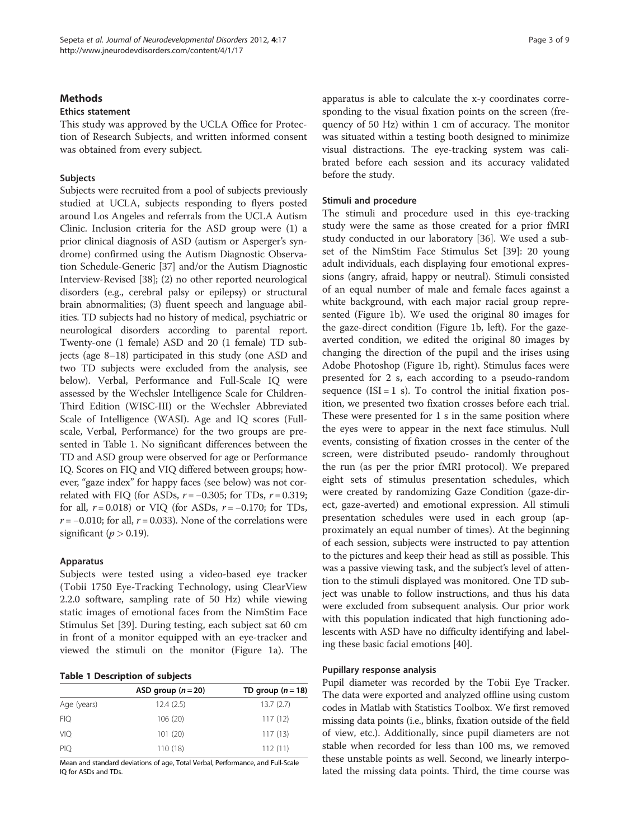# **Methods**

# Ethics statement

This study was approved by the UCLA Office for Protection of Research Subjects, and written informed consent was obtained from every subject.

# Subjects

Subjects were recruited from a pool of subjects previously studied at UCLA, subjects responding to flyers posted around Los Angeles and referrals from the UCLA Autism Clinic. Inclusion criteria for the ASD group were (1) a prior clinical diagnosis of ASD (autism or Asperger's syndrome) confirmed using the Autism Diagnostic Observation Schedule-Generic [\[37\]](#page-8-0) and/or the Autism Diagnostic Interview-Revised [\[38](#page-8-0)]; (2) no other reported neurological disorders (e.g., cerebral palsy or epilepsy) or structural brain abnormalities; (3) fluent speech and language abilities. TD subjects had no history of medical, psychiatric or neurological disorders according to parental report. Twenty-one (1 female) ASD and 20 (1 female) TD subjects (age 8–18) participated in this study (one ASD and two TD subjects were excluded from the analysis, see below). Verbal, Performance and Full-Scale IQ were assessed by the Wechsler Intelligence Scale for Children-Third Edition (WISC-III) or the Wechsler Abbreviated Scale of Intelligence (WASI). Age and IQ scores (Fullscale, Verbal, Performance) for the two groups are presented in Table 1. No significant differences between the TD and ASD group were observed for age or Performance IQ. Scores on FIQ and VIQ differed between groups; however, "gaze index" for happy faces (see below) was not correlated with FIQ (for ASDs,  $r = -0.305$ ; for TDs,  $r = 0.319$ ; for all,  $r = 0.018$ ) or VIO (for ASDs,  $r = -0.170$ ; for TDs,  $r = -0.010$ ; for all,  $r = 0.033$ ). None of the correlations were significant ( $p > 0.19$ ).

#### Apparatus

Subjects were tested using a video-based eye tracker (Tobii 1750 Eye-Tracking Technology, using ClearView 2.2.0 software, sampling rate of 50 Hz) while viewing static images of emotional faces from the NimStim Face Stimulus Set [\[39](#page-8-0)]. During testing, each subject sat 60 cm in front of a monitor equipped with an eye-tracker and viewed the stimuli on the monitor (Figure [1a\)](#page-3-0). The

|  | <b>Table 1 Description of subjects</b> |  |
|--|----------------------------------------|--|
|--|----------------------------------------|--|

|             | ASD group $(n=20)$ | TD group $(n = 18)$ |
|-------------|--------------------|---------------------|
| Age (years) | 12.4(2.5)          | 13.7(2.7)           |
| <b>FIQ</b>  | 106(20)            | 117(12)             |
| VIQ         | 101(20)            | 117(13)             |
| <b>PIQ</b>  | 110(18)            | 112(11)             |

Mean and standard deviations of age, Total Verbal, Performance, and Full-Scale IQ for ASDs and TDs.

apparatus is able to calculate the x-y coordinates corresponding to the visual fixation points on the screen (frequency of 50 Hz) within 1 cm of accuracy. The monitor was situated within a testing booth designed to minimize visual distractions. The eye-tracking system was calibrated before each session and its accuracy validated before the study.

#### Stimuli and procedure

The stimuli and procedure used in this eye-tracking study were the same as those created for a prior fMRI study conducted in our laboratory [[36\]](#page-8-0). We used a subset of the NimStim Face Stimulus Set [[39\]](#page-8-0): 20 young adult individuals, each displaying four emotional expressions (angry, afraid, happy or neutral). Stimuli consisted of an equal number of male and female faces against a white background, with each major racial group represented (Figure [1b](#page-3-0)). We used the original 80 images for the gaze-direct condition (Figure [1b](#page-3-0), left). For the gazeaverted condition, we edited the original 80 images by changing the direction of the pupil and the irises using Adobe Photoshop (Figure [1b,](#page-3-0) right). Stimulus faces were presented for 2 s, each according to a pseudo-random sequence  $(ISI = 1 s)$ . To control the initial fixation position, we presented two fixation crosses before each trial. These were presented for 1 s in the same position where the eyes were to appear in the next face stimulus. Null events, consisting of fixation crosses in the center of the screen, were distributed pseudo- randomly throughout the run (as per the prior fMRI protocol). We prepared eight sets of stimulus presentation schedules, which were created by randomizing Gaze Condition (gaze-direct, gaze-averted) and emotional expression. All stimuli presentation schedules were used in each group (approximately an equal number of times). At the beginning of each session, subjects were instructed to pay attention to the pictures and keep their head as still as possible. This was a passive viewing task, and the subject's level of attention to the stimuli displayed was monitored. One TD subject was unable to follow instructions, and thus his data were excluded from subsequent analysis. Our prior work with this population indicated that high functioning adolescents with ASD have no difficulty identifying and labeling these basic facial emotions [[40](#page-8-0)].

#### Pupillary response analysis

Pupil diameter was recorded by the Tobii Eye Tracker. The data were exported and analyzed offline using custom codes in Matlab with Statistics Toolbox. We first removed missing data points (i.e., blinks, fixation outside of the field of view, etc.). Additionally, since pupil diameters are not stable when recorded for less than 100 ms, we removed these unstable points as well. Second, we linearly interpolated the missing data points. Third, the time course was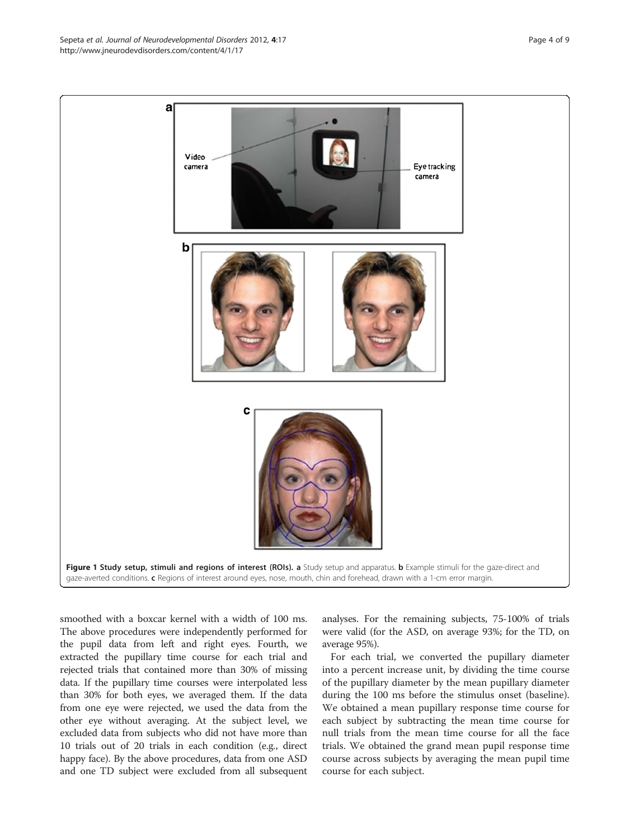<span id="page-3-0"></span>

smoothed with a boxcar kernel with a width of 100 ms. The above procedures were independently performed for the pupil data from left and right eyes. Fourth, we extracted the pupillary time course for each trial and rejected trials that contained more than 30% of missing data. If the pupillary time courses were interpolated less than 30% for both eyes, we averaged them. If the data from one eye were rejected, we used the data from the other eye without averaging. At the subject level, we excluded data from subjects who did not have more than 10 trials out of 20 trials in each condition (e.g., direct happy face). By the above procedures, data from one ASD and one TD subject were excluded from all subsequent

analyses. For the remaining subjects, 75-100% of trials were valid (for the ASD, on average 93%; for the TD, on average 95%).

For each trial, we converted the pupillary diameter into a percent increase unit, by dividing the time course of the pupillary diameter by the mean pupillary diameter during the 100 ms before the stimulus onset (baseline). We obtained a mean pupillary response time course for each subject by subtracting the mean time course for null trials from the mean time course for all the face trials. We obtained the grand mean pupil response time course across subjects by averaging the mean pupil time course for each subject.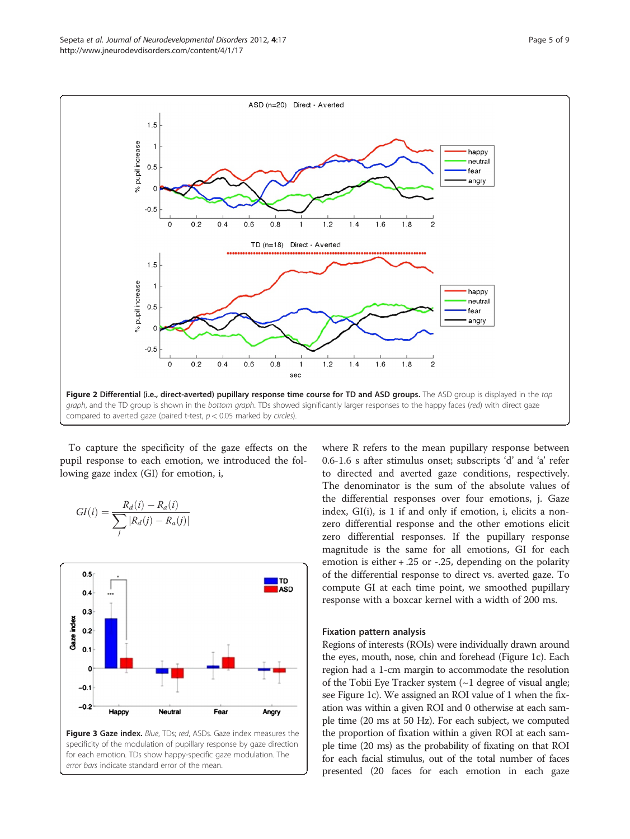<span id="page-4-0"></span>

To capture the specificity of the gaze effects on the pupil response to each emotion, we introduced the following gaze index (GI) for emotion, i,

$$
GI(i) = \frac{R_d(i) - R_a(i)}{\sum_j |R_d(j) - R_a(j)|}
$$



where R refers to the mean pupillary response between 0.6-1.6 s after stimulus onset; subscripts 'd' and 'a' refer to directed and averted gaze conditions, respectively. The denominator is the sum of the absolute values of the differential responses over four emotions, j. Gaze index, GI(i), is 1 if and only if emotion, i, elicits a nonzero differential response and the other emotions elicit zero differential responses. If the pupillary response magnitude is the same for all emotions, GI for each emotion is either + .25 or -.25, depending on the polarity of the differential response to direct vs. averted gaze. To compute GI at each time point, we smoothed pupillary response with a boxcar kernel with a width of 200 ms.

#### Fixation pattern analysis

Regions of interests (ROIs) were individually drawn around the eyes, mouth, nose, chin and forehead (Figure [1c](#page-3-0)). Each region had a 1-cm margin to accommodate the resolution of the Tobii Eye Tracker system  $(\sim 1$  degree of visual angle; see Figure [1c\)](#page-3-0). We assigned an ROI value of 1 when the fixation was within a given ROI and 0 otherwise at each sample time (20 ms at 50 Hz). For each subject, we computed the proportion of fixation within a given ROI at each sample time (20 ms) as the probability of fixating on that ROI for each facial stimulus, out of the total number of faces presented (20 faces for each emotion in each gaze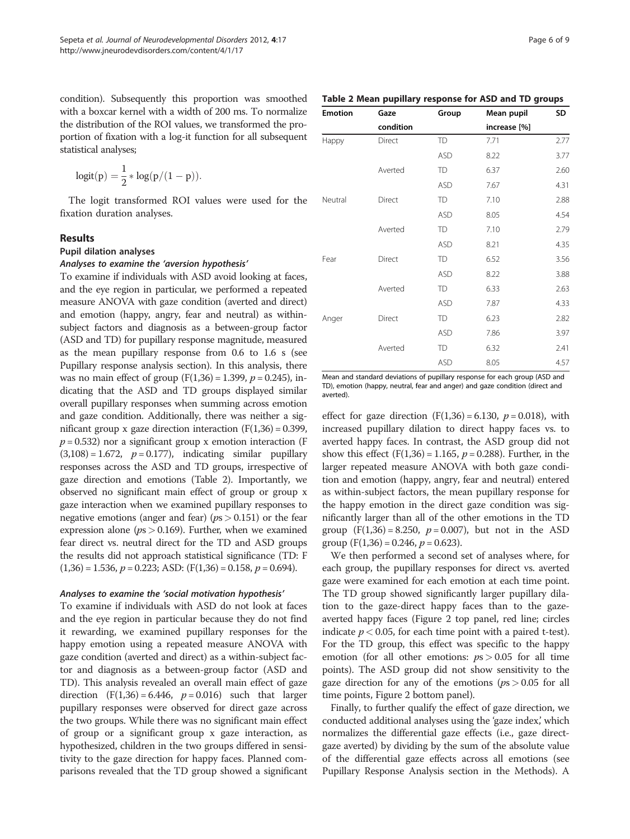condition). Subsequently this proportion was smoothed with a boxcar kernel with a width of 200 ms. To normalize the distribution of the ROI values, we transformed the proportion of fixation with a log-it function for all subsequent statistical analyses;

$$
logit(p)=\frac{1}{2}\ast log(p/(1-p)).
$$

The logit transformed ROI values were used for the fixation duration analyses.

# Results

#### Pupil dilation analyses

#### Analyses to examine the 'aversion hypothesis'

To examine if individuals with ASD avoid looking at faces, and the eye region in particular, we performed a repeated measure ANOVA with gaze condition (averted and direct) and emotion (happy, angry, fear and neutral) as withinsubject factors and diagnosis as a between-group factor (ASD and TD) for pupillary response magnitude, measured as the mean pupillary response from 0.6 to 1.6 s (see Pupillary response analysis section). In this analysis, there was no main effect of group  $(F(1,36) = 1.399, p = 0.245)$ , indicating that the ASD and TD groups displayed similar overall pupillary responses when summing across emotion and gaze condition. Additionally, there was neither a significant group x gaze direction interaction  $(F(1,36) = 0.399,$  $p = 0.532$ ) nor a significant group x emotion interaction (F  $(3,108) = 1.672$ ,  $p = 0.177$ , indicating similar pupillary responses across the ASD and TD groups, irrespective of gaze direction and emotions (Table 2). Importantly, we observed no significant main effect of group or group x gaze interaction when we examined pupillary responses to negative emotions (anger and fear) ( $ps > 0.151$ ) or the fear expression alone ( $ps > 0.169$ ). Further, when we examined fear direct vs. neutral direct for the TD and ASD groups the results did not approach statistical significance (TD: F  $(1,36) = 1.536, p = 0.223;$  ASD:  $(F(1,36) = 0.158, p = 0.694)$ .

#### Analyses to examine the 'social motivation hypothesis'

To examine if individuals with ASD do not look at faces and the eye region in particular because they do not find it rewarding, we examined pupillary responses for the happy emotion using a repeated measure ANOVA with gaze condition (averted and direct) as a within-subject factor and diagnosis as a between-group factor (ASD and TD). This analysis revealed an overall main effect of gaze direction  $(F(1,36) = 6.446, p = 0.016)$  such that larger pupillary responses were observed for direct gaze across the two groups. While there was no significant main effect of group or a significant group x gaze interaction, as hypothesized, children in the two groups differed in sensitivity to the gaze direction for happy faces. Planned comparisons revealed that the TD group showed a significant

| Page 6 of 9 |  |  |
|-------------|--|--|
|             |  |  |

#### Table 2 Mean pupillary response for ASD and TD groups

| <b>Emotion</b> | Gaze      | Group      | Mean pupil   | SD   |
|----------------|-----------|------------|--------------|------|
|                | condition |            | increase [%] |      |
| Happy          | Direct    | TD         | 7.71         | 2.77 |
|                |           | <b>ASD</b> | 8.22         | 3.77 |
|                | Averted   | <b>TD</b>  | 6.37         | 2.60 |
|                |           | <b>ASD</b> | 7.67         | 4.31 |
| Neutral        | Direct    | TD         | 7.10         | 2.88 |
|                |           | <b>ASD</b> | 8.05         | 4.54 |
|                | Averted   | TD         | 7.10         | 2.79 |
|                |           | <b>ASD</b> | 8.21         | 4.35 |
| Fear           | Direct    | TD         | 6.52         | 3.56 |
|                |           | <b>ASD</b> | 8.22         | 3.88 |
|                | Averted   | TD         | 6.33         | 2.63 |
|                |           | <b>ASD</b> | 7.87         | 4.33 |
| Anger          | Direct    | TD         | 6.23         | 2.82 |
|                |           | <b>ASD</b> | 7.86         | 3.97 |
|                | Averted   | TD         | 6.32         | 2.41 |
|                |           | <b>ASD</b> | 8.05         | 4.57 |

Mean and standard deviations of pupillary response for each group (ASD and TD), emotion (happy, neutral, fear and anger) and gaze condition (direct and averted).

effect for gaze direction  $(F(1,36) = 6.130, p = 0.018)$ , with increased pupillary dilation to direct happy faces vs. to averted happy faces. In contrast, the ASD group did not show this effect  $(F(1,36) = 1.165, p = 0.288)$ . Further, in the larger repeated measure ANOVA with both gaze condition and emotion (happy, angry, fear and neutral) entered as within-subject factors, the mean pupillary response for the happy emotion in the direct gaze condition was significantly larger than all of the other emotions in the TD group  $(F(1,36) = 8.250, p = 0.007)$ , but not in the ASD group  $(F(1,36) = 0.246, p = 0.623)$ .

We then performed a second set of analyses where, for each group, the pupillary responses for direct vs. averted gaze were examined for each emotion at each time point. The TD group showed significantly larger pupillary dilation to the gaze-direct happy faces than to the gazeaverted happy faces (Figure [2](#page-4-0) top panel, red line; circles indicate  $p < 0.05$ , for each time point with a paired t-test). For the TD group, this effect was specific to the happy emotion (for all other emotions:  $ps > 0.05$  for all time points). The ASD group did not show sensitivity to the gaze direction for any of the emotions ( $ps > 0.05$  for all time points, Figure [2](#page-4-0) bottom panel).

Finally, to further qualify the effect of gaze direction, we conducted additional analyses using the 'gaze index,' which normalizes the differential gaze effects (i.e., gaze directgaze averted) by dividing by the sum of the absolute value of the differential gaze effects across all emotions (see Pupillary Response Analysis section in the Methods). A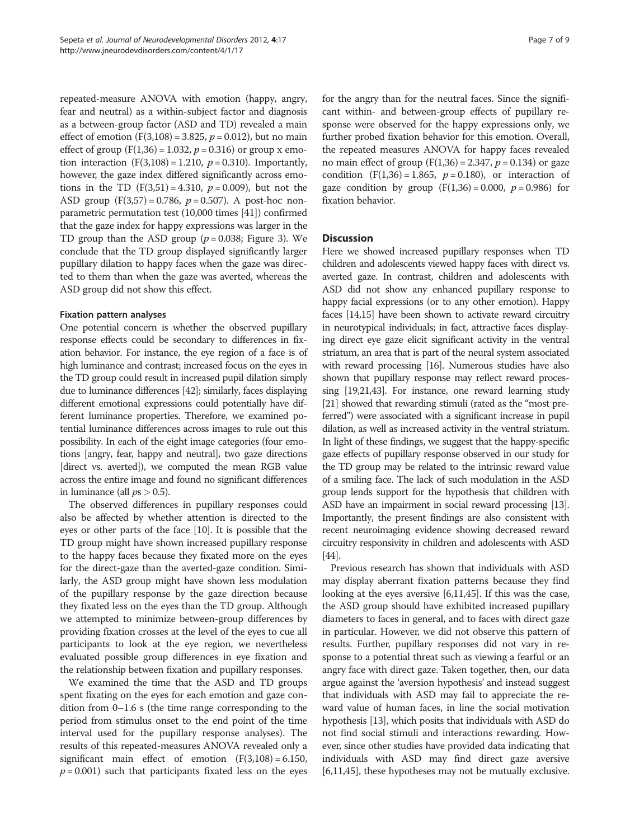repeated-measure ANOVA with emotion (happy, angry, fear and neutral) as a within-subject factor and diagnosis as a between-group factor (ASD and TD) revealed a main effect of emotion (F(3,108) = 3.825,  $p = 0.012$ ), but no main effect of group  $(F(1,36) = 1.032, p = 0.316)$  or group x emotion interaction  $(F(3,108) = 1.210, p = 0.310)$ . Importantly, however, the gaze index differed significantly across emotions in the TD  $(F(3,51) = 4.310, p = 0.009)$ , but not the ASD group  $(F(3,57) = 0.786, p = 0.507)$ . A post-hoc nonparametric permutation test (10,000 times [\[41\]](#page-8-0)) confirmed that the gaze index for happy expressions was larger in the TD group than the ASD group ( $p = 0.038$ ; Figure [3](#page-4-0)). We conclude that the TD group displayed significantly larger pupillary dilation to happy faces when the gaze was directed to them than when the gaze was averted, whereas the ASD group did not show this effect.

# Fixation pattern analyses

One potential concern is whether the observed pupillary response effects could be secondary to differences in fixation behavior. For instance, the eye region of a face is of high luminance and contrast; increased focus on the eyes in the TD group could result in increased pupil dilation simply due to luminance differences [\[42\]](#page-8-0); similarly, faces displaying different emotional expressions could potentially have different luminance properties. Therefore, we examined potential luminance differences across images to rule out this possibility. In each of the eight image categories (four emotions [angry, fear, happy and neutral], two gaze directions [direct vs. averted]), we computed the mean RGB value across the entire image and found no significant differences in luminance (all  $ps > 0.5$ ).

The observed differences in pupillary responses could also be affected by whether attention is directed to the eyes or other parts of the face [\[10\]](#page-8-0). It is possible that the TD group might have shown increased pupillary response to the happy faces because they fixated more on the eyes for the direct-gaze than the averted-gaze condition. Similarly, the ASD group might have shown less modulation of the pupillary response by the gaze direction because they fixated less on the eyes than the TD group. Although we attempted to minimize between-group differences by providing fixation crosses at the level of the eyes to cue all participants to look at the eye region, we nevertheless evaluated possible group differences in eye fixation and the relationship between fixation and pupillary responses.

We examined the time that the ASD and TD groups spent fixating on the eyes for each emotion and gaze condition from 0–1.6 s (the time range corresponding to the period from stimulus onset to the end point of the time interval used for the pupillary response analyses). The results of this repeated-measures ANOVA revealed only a significant main effect of emotion  $(F(3,108) = 6.150,$  $p = 0.001$ ) such that participants fixated less on the eyes for the angry than for the neutral faces. Since the significant within- and between-group effects of pupillary response were observed for the happy expressions only, we further probed fixation behavior for this emotion. Overall, the repeated measures ANOVA for happy faces revealed no main effect of group  $(F(1,36) = 2.347, p = 0.134)$  or gaze condition  $(F(1,36) = 1.865, p = 0.180)$ , or interaction of gaze condition by group  $(F(1,36) = 0.000, p = 0.986)$  for fixation behavior.

# **Discussion**

Here we showed increased pupillary responses when TD children and adolescents viewed happy faces with direct vs. averted gaze. In contrast, children and adolescents with ASD did not show any enhanced pupillary response to happy facial expressions (or to any other emotion). Happy faces [\[14,15](#page-8-0)] have been shown to activate reward circuitry in neurotypical individuals; in fact, attractive faces displaying direct eye gaze elicit significant activity in the ventral striatum, an area that is part of the neural system associated with reward processing [[16](#page-8-0)]. Numerous studies have also shown that pupillary response may reflect reward processing [[19,21,43\]](#page-8-0). For instance, one reward learning study [[21](#page-8-0)] showed that rewarding stimuli (rated as the "most preferred") were associated with a significant increase in pupil dilation, as well as increased activity in the ventral striatum. In light of these findings, we suggest that the happy-specific gaze effects of pupillary response observed in our study for the TD group may be related to the intrinsic reward value of a smiling face. The lack of such modulation in the ASD group lends support for the hypothesis that children with ASD have an impairment in social reward processing [\[13](#page-8-0)]. Importantly, the present findings are also consistent with recent neuroimaging evidence showing decreased reward circuitry responsivity in children and adolescents with ASD [[44](#page-8-0)].

Previous research has shown that individuals with ASD may display aberrant fixation patterns because they find looking at the eyes aversive [\[6,](#page-7-0)[11](#page-8-0),[45](#page-8-0)]. If this was the case, the ASD group should have exhibited increased pupillary diameters to faces in general, and to faces with direct gaze in particular. However, we did not observe this pattern of results. Further, pupillary responses did not vary in response to a potential threat such as viewing a fearful or an angry face with direct gaze. Taken together, then, our data argue against the 'aversion hypothesis' and instead suggest that individuals with ASD may fail to appreciate the reward value of human faces, in line the social motivation hypothesis [[13](#page-8-0)], which posits that individuals with ASD do not find social stimuli and interactions rewarding. However, since other studies have provided data indicating that individuals with ASD may find direct gaze aversive [[6,](#page-7-0)[11,45](#page-8-0)], these hypotheses may not be mutually exclusive.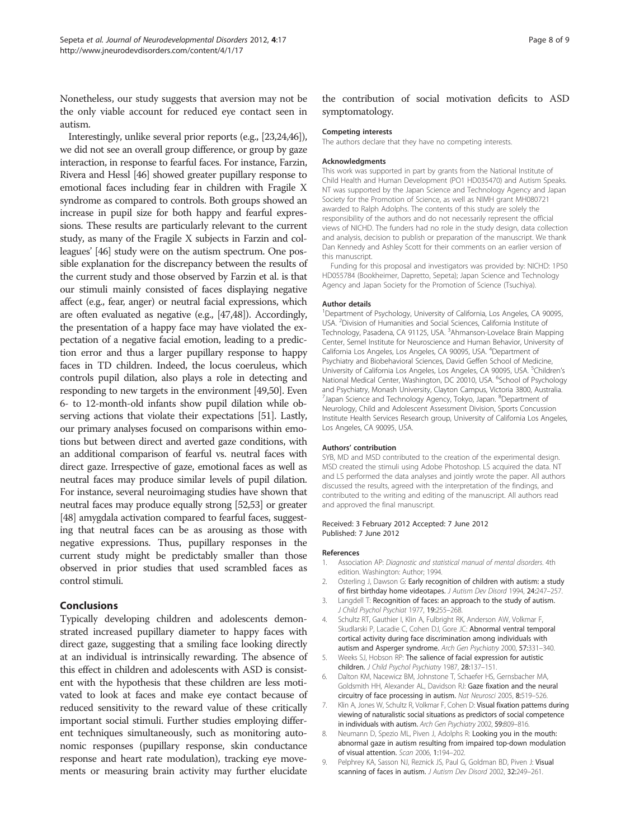<span id="page-7-0"></span>Nonetheless, our study suggests that aversion may not be the only viable account for reduced eye contact seen in autism.

Interestingly, unlike several prior reports (e.g., [\[23,24,46](#page-8-0)]), we did not see an overall group difference, or group by gaze interaction, in response to fearful faces. For instance, Farzin, Rivera and Hessl [\[46\]](#page-8-0) showed greater pupillary response to emotional faces including fear in children with Fragile X syndrome as compared to controls. Both groups showed an increase in pupil size for both happy and fearful expressions. These results are particularly relevant to the current study, as many of the Fragile X subjects in Farzin and colleagues' [[46](#page-8-0)] study were on the autism spectrum. One possible explanation for the discrepancy between the results of the current study and those observed by Farzin et al. is that our stimuli mainly consisted of faces displaying negative affect (e.g., fear, anger) or neutral facial expressions, which are often evaluated as negative (e.g., [[47,48](#page-8-0)]). Accordingly, the presentation of a happy face may have violated the expectation of a negative facial emotion, leading to a prediction error and thus a larger pupillary response to happy faces in TD children. Indeed, the locus coeruleus, which controls pupil dilation, also plays a role in detecting and responding to new targets in the environment [\[49,50\]](#page-8-0). Even 6- to 12-month-old infants show pupil dilation while observing actions that violate their expectations [\[51](#page-8-0)]. Lastly, our primary analyses focused on comparisons within emotions but between direct and averted gaze conditions, with an additional comparison of fearful vs. neutral faces with direct gaze. Irrespective of gaze, emotional faces as well as neutral faces may produce similar levels of pupil dilation. For instance, several neuroimaging studies have shown that neutral faces may produce equally strong [\[52,53\]](#page-8-0) or greater [[48](#page-8-0)] amygdala activation compared to fearful faces, suggesting that neutral faces can be as arousing as those with negative expressions. Thus, pupillary responses in the current study might be predictably smaller than those observed in prior studies that used scrambled faces as control stimuli.

#### Conclusions

Typically developing children and adolescents demonstrated increased pupillary diameter to happy faces with direct gaze, suggesting that a smiling face looking directly at an individual is intrinsically rewarding. The absence of this effect in children and adolescents with ASD is consistent with the hypothesis that these children are less motivated to look at faces and make eye contact because of reduced sensitivity to the reward value of these critically important social stimuli. Further studies employing different techniques simultaneously, such as monitoring autonomic responses (pupillary response, skin conductance response and heart rate modulation), tracking eye movements or measuring brain activity may further elucidate

the contribution of social motivation deficits to ASD symptomatology.

#### Competing interests

The authors declare that they have no competing interests.

#### Acknowledgments

This work was supported in part by grants from the National Institute of Child Health and Human Development (PO1 HD035470) and Autism Speaks. NT was supported by the Japan Science and Technology Agency and Japan Society for the Promotion of Science, as well as NIMH grant MH080721 awarded to Ralph Adolphs. The contents of this study are solely the responsibility of the authors and do not necessarily represent the official views of NICHD. The funders had no role in the study design, data collection and analysis, decision to publish or preparation of the manuscript. We thank Dan Kennedy and Ashley Scott for their comments on an earlier version of this manuscript.

Funding for this proposal and investigators was provided by: NICHD: 1P50 HD055784 (Bookheimer, Dapretto, Sepeta); Japan Science and Technology Agency and Japan Society for the Promotion of Science (Tsuchiya).

#### Author details

<sup>1</sup>Department of Psychology, University of California, Los Angeles, CA 90095, USA. <sup>2</sup> Division of Humanities and Social Sciences, California Institute of Technology, Pasadena, CA 91125, USA. <sup>3</sup>Ahmanson-Lovelace Brain Mapping Center, Semel Institute for Neuroscience and Human Behavior, University of California Los Angeles, Los Angeles, CA 90095, USA. <sup>4</sup>Department of Psychiatry and Biobehavioral Sciences, David Geffen School of Medicine, University of California Los Angeles, Los Angeles, CA 90095, USA. <sup>5</sup>Children's National Medical Center, Washington, DC 20010, USA. <sup>6</sup>School of Psychology and Psychiatry, Monash University, Clayton Campus, Victoria 3800, Australia. <sup>7</sup>Japan Science and Technology Agency, Tokyo, Japan. <sup>8</sup>Department of Neurology, Child and Adolescent Assessment Division, Sports Concussion Institute Health Services Research group, University of California Los Angeles, Los Angeles, CA 90095, USA.

#### Authors' contribution

SYB, MD and MSD contributed to the creation of the experimental design. MSD created the stimuli using Adobe Photoshop. LS acquired the data. NT and LS performed the data analyses and jointly wrote the paper. All authors discussed the results, agreed with the interpretation of the findings, and contributed to the writing and editing of the manuscript. All authors read and approved the final manuscript.

#### Received: 3 February 2012 Accepted: 7 June 2012 Published: 7 June 2012

#### References

- 1. Association AP: Diagnostic and statistical manual of mental disorders. 4th edition. Washington: Author; 1994.
- 2. Osterling J, Dawson G: Early recognition of children with autism: a study of first birthday home videotapes. J Autism Dev Disord 1994, 24:247–257.
- 3. Langdell T: Recognition of faces: an approach to the study of autism. J Child Psychol Psychiat 1977, 19:255–268.
- 4. Schultz RT, Gauthier I, Klin A, Fulbright RK, Anderson AW, Volkmar F, Skudlarski P, Lacadie C, Cohen DJ, Gore JC: Abnormal ventral temporal cortical activity during face discrimination among individuals with autism and Asperger syndrome. Arch Gen Psychiatry 2000, 57:331–340.
- 5. Weeks SJ, Hobson RP: The salience of facial expression for autistic children. J Child Psychol Psychiatry 1987, 28:137-151.
- 6. Dalton KM, Nacewicz BM, Johnstone T, Schaefer HS, Gernsbacher MA, Goldsmith HH, Alexander AL, Davidson RJ: Gaze fixation and the neural circuitry of face processing in autism. Nat Neurosci 2005, 8:519–526.
- 7. Klin A, Jones W, Schultz R, Volkmar F, Cohen D: Visual fixation patterns during viewing of naturalistic social situations as predictors of social competence in individuals with autism. Arch Gen Psychiatry 2002, 59:809–816.
- 8. Neumann D, Spezio ML, Piven J, Adolphs R: Looking you in the mouth: abnormal gaze in autism resulting from impaired top-down modulation of visual attention. Scan 2006, 1:194–202.
- 9. Pelphrey KA, Sasson NJ, Reznick JS, Paul G, Goldman BD, Piven J: Visual scanning of faces in autism. J Autism Dev Disord 2002, 32:249–261.